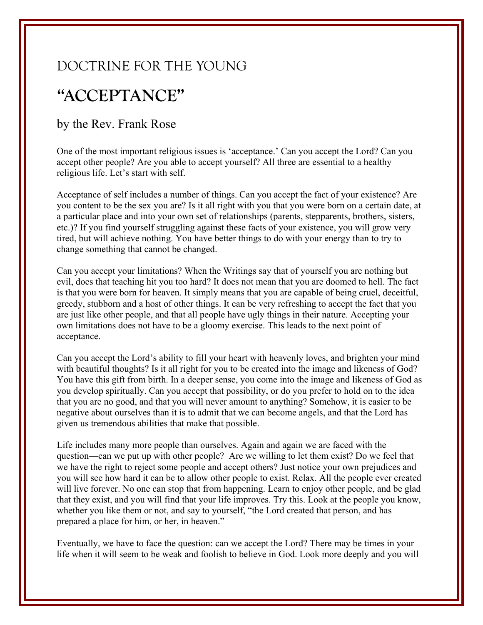## DOCTRINE FOR THE YOUNG

## **"ACCEPTANCE"**

## by the Rev. Frank Rose

One of the most important religious issues is 'acceptance.' Can you accept the Lord? Can you accept other people? Are you able to accept yourself? All three are essential to a healthy religious life. Let's start with self.

Acceptance of self includes a number of things. Can you accept the fact of your existence? Are you content to be the sex you are? Is it all right with you that you were born on a certain date, at a particular place and into your own set of relationships (parents, stepparents, brothers, sisters, etc.)? If you find yourself struggling against these facts of your existence, you will grow very tired, but will achieve nothing. You have better things to do with your energy than to try to change something that cannot be changed.

Can you accept your limitations? When the Writings say that of yourself you are nothing but evil, does that teaching hit you too hard? It does not mean that you are doomed to hell. The fact is that you were born for heaven. It simply means that you are capable of being cruel, deceitful, greedy, stubborn and a host of other things. It can be very refreshing to accept the fact that you are just like other people, and that all people have ugly things in their nature. Accepting your own limitations does not have to be a gloomy exercise. This leads to the next point of acceptance.

Can you accept the Lord's ability to fill your heart with heavenly loves, and brighten your mind with beautiful thoughts? Is it all right for you to be created into the image and likeness of God? You have this gift from birth. In a deeper sense, you come into the image and likeness of God as you develop spiritually. Can you accept that possibility, or do you prefer to hold on to the idea that you are no good, and that you will never amount to anything? Somehow, it is easier to be negative about ourselves than it is to admit that we can become angels, and that the Lord has given us tremendous abilities that make that possible.

Life includes many more people than ourselves. Again and again we are faced with the question—can we put up with other people? Are we willing to let them exist? Do we feel that we have the right to reject some people and accept others? Just notice your own prejudices and you will see how hard it can be to allow other people to exist. Relax. All the people ever created will live forever. No one can stop that from happening. Learn to enjoy other people, and be glad that they exist, and you will find that your life improves. Try this. Look at the people you know, whether you like them or not, and say to yourself, "the Lord created that person, and has prepared a place for him, or her, in heaven."

Eventually, we have to face the question: can we accept the Lord? There may be times in your life when it will seem to be weak and foolish to believe in God. Look more deeply and you will